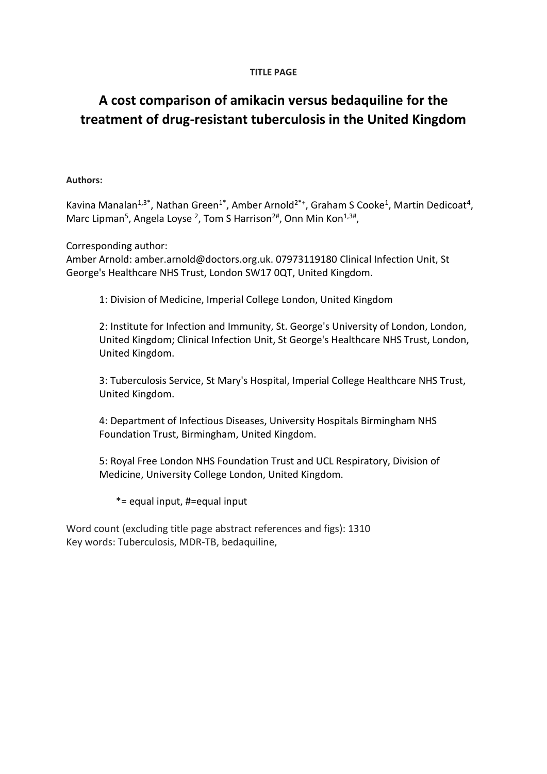# **TITLE PAGE**

# **A cost comparison of amikacin versus bedaquiline for the treatment of drug-resistant tuberculosis in the United Kingdom**

# **Authors:**

Kavina Manalan<sup>1,3\*</sup>, Nathan Green<sup>1\*</sup>, Amber Arnold<sup>2\*+</sup>, Graham S Cooke<sup>1</sup>, Martin Dedicoat<sup>4</sup>, Marc Lipman<sup>5</sup>, Angela Loyse <sup>2</sup>, Tom S Harrison<sup>2#</sup>, Onn Min Kon<sup>1,3#</sup>,

Corresponding author:

Amber Arnold: [amber.arnold@doctors.org.uk. 07973119180](mailto:amber.arnold@doctors.org.uk.%2007973119180) Clinical Infection Unit, St George's Healthcare NHS Trust, London SW17 0QT, United Kingdom.

1: Division of Medicine, Imperial College London, United Kingdom

2: Institute for Infection and Immunity, St. George's University of London, London, United Kingdom; Clinical Infection Unit, St George's Healthcare NHS Trust, London, United Kingdom.

3: Tuberculosis Service, St Mary's Hospital, Imperial College Healthcare NHS Trust, United Kingdom.

4: Department of Infectious Diseases, University Hospitals Birmingham NHS Foundation Trust, Birmingham, United Kingdom.

5: Royal Free London NHS Foundation Trust and UCL Respiratory, Division of Medicine, University College London, United Kingdom.

\*= equal input, #=equal input

Word count (excluding title page abstract references and figs): 1310 Key words: Tuberculosis, MDR-TB, bedaquiline,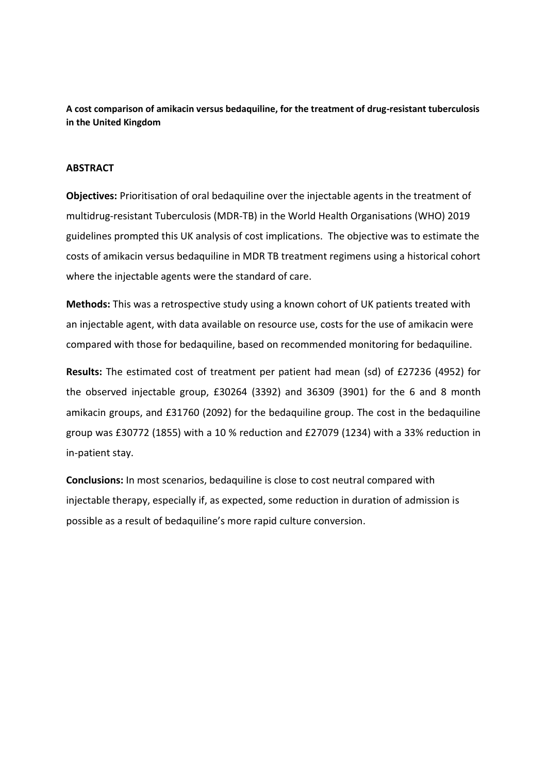**A cost comparison of amikacin versus bedaquiline, for the treatment of drug-resistant tuberculosis in the United Kingdom**

## **ABSTRACT**

**Objectives:** Prioritisation of oral bedaquiline over the injectable agents in the treatment of multidrug-resistant Tuberculosis (MDR-TB) in the World Health Organisations (WHO) 2019 guidelines prompted this UK analysis of cost implications. The objective was to estimate the costs of amikacin versus bedaquiline in MDR TB treatment regimens using a historical cohort where the injectable agents were the standard of care.

**Methods:** This was a retrospective study using a known cohort of UK patients treated with an injectable agent, with data available on resource use, costs for the use of amikacin were compared with those for bedaquiline, based on recommended monitoring for bedaquiline.

**Results:** The estimated cost of treatment per patient had mean (sd) of £27236 (4952) for the observed injectable group, £30264 (3392) and 36309 (3901) for the 6 and 8 month amikacin groups, and £31760 (2092) for the bedaquiline group. The cost in the bedaquiline group was £30772 (1855) with a 10 % reduction and £27079 (1234) with a 33% reduction in in-patient stay.

**Conclusions:** In most scenarios, bedaquiline is close to cost neutral compared with injectable therapy, especially if, as expected, some reduction in duration of admission is possible as a result of bedaquiline's more rapid culture conversion.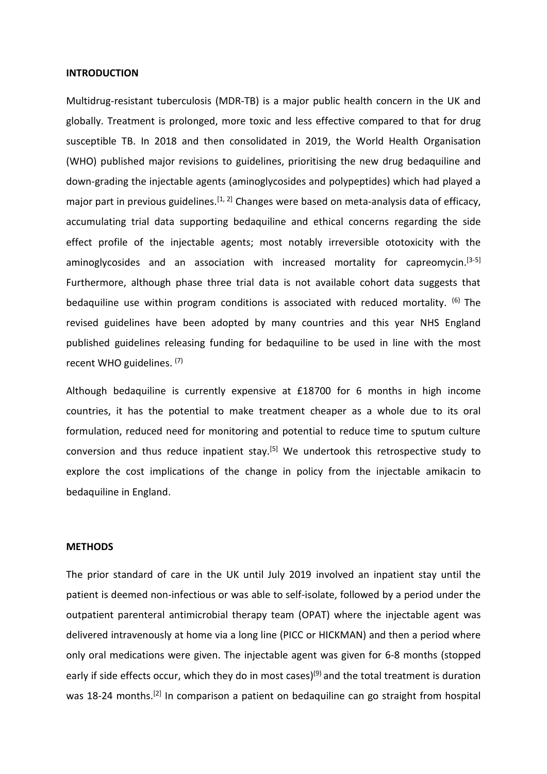#### **INTRODUCTION**

Multidrug-resistant tuberculosis (MDR-TB) is a major public health concern in the UK and globally. Treatment is prolonged, more toxic and less effective compared to that for drug susceptible TB. In 2018 and then consolidated in 2019, the World Health Organisation (WHO) published major revisions to guidelines, prioritising the new drug bedaquiline and down-grading the injectable agents (aminoglycosides and polypeptides) which had played a major part in previous guidelines.<sup>[1, 2]</sup> Changes were based on meta-analysis data of efficacy, accumulating trial data supporting bedaquiline and ethical concerns regarding the side effect profile of the injectable agents; most notably irreversible ototoxicity with the aminoglycosides and an association with increased mortality for capreomycin.<sup>[3-5]</sup> Furthermore, although phase three trial data is not available cohort data suggests that bedaquiline use within program conditions is associated with reduced mortality. <sup>(6)</sup> The revised guidelines have been adopted by many countries and this year NHS England published guidelines releasing funding for bedaquiline to be used in line with the most recent WHO guidelines. (7)

Although bedaquiline is currently expensive at £18700 for 6 months in high income countries, it has the potential to make treatment cheaper as a whole due to its oral formulation, reduced need for monitoring and potential to reduce time to sputum culture conversion and thus reduce inpatient stay.[5] We undertook this retrospective study to explore the cost implications of the change in policy from the injectable amikacin to bedaquiline in England.

## **METHODS**

The prior standard of care in the UK until July 2019 involved an inpatient stay until the patient is deemed non-infectious or was able to self-isolate, followed by a period under the outpatient parenteral antimicrobial therapy team (OPAT) where the injectable agent was delivered intravenously at home via a long line (PICC or HICKMAN) and then a period where only oral medications were given. The injectable agent was given for 6-8 months (stopped early if side effects occur, which they do in most cases)<sup>(9)</sup> and the total treatment is duration was 18-24 months.<sup>[2]</sup> In comparison a patient on bedaquiline can go straight from hospital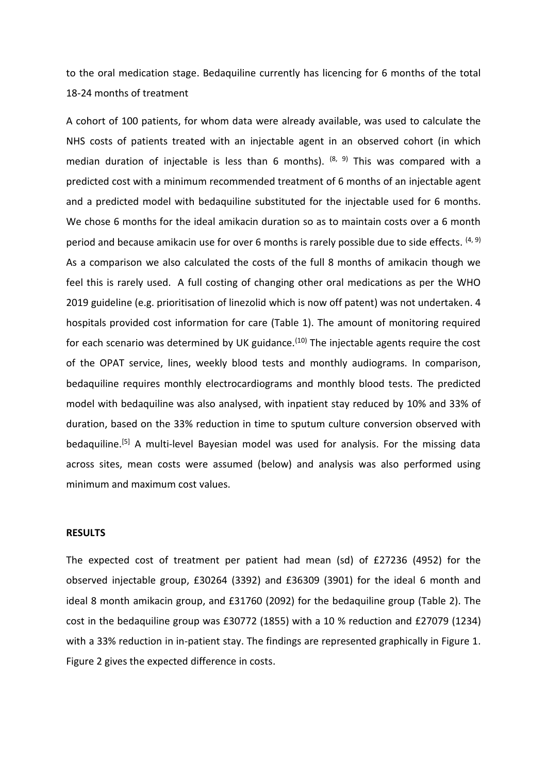to the oral medication stage. Bedaquiline currently has licencing for 6 months of the total 18-24 months of treatment

A cohort of 100 patients, for whom data were already available, was used to calculate the NHS costs of patients treated with an injectable agent in an observed cohort (in which median duration of injectable is less than 6 months). <sup>(8, 9)</sup> This was compared with a predicted cost with a minimum recommended treatment of 6 months of an injectable agent and a predicted model with bedaquiline substituted for the injectable used for 6 months. We chose 6 months for the ideal amikacin duration so as to maintain costs over a 6 month period and because amikacin use for over 6 months is rarely possible due to side effects.  $(4, 9)$ As a comparison we also calculated the costs of the full 8 months of amikacin though we feel this is rarely used. A full costing of changing other oral medications as per the WHO 2019 guideline (e.g. prioritisation of linezolid which is now off patent) was not undertaken. 4 hospitals provided cost information for care (Table 1). The amount of monitoring required for each scenario was determined by UK guidance.<sup>(10)</sup> The injectable agents require the cost of the OPAT service, lines, weekly blood tests and monthly audiograms. In comparison, bedaquiline requires monthly electrocardiograms and monthly blood tests. The predicted model with bedaquiline was also analysed, with inpatient stay reduced by 10% and 33% of duration, based on the 33% reduction in time to sputum culture conversion observed with bedaquiline.<sup>[5]</sup> A multi-level Bayesian model was used for analysis. For the missing data across sites, mean costs were assumed (below) and analysis was also performed using minimum and maximum cost values.

## **RESULTS**

The expected cost of treatment per patient had mean (sd) of £27236 (4952) for the observed injectable group, £30264 (3392) and £36309 (3901) for the ideal 6 month and ideal 8 month amikacin group, and £31760 (2092) for the bedaquiline group (Table 2). The cost in the bedaquiline group was £30772 (1855) with a 10 % reduction and £27079 (1234) with a 33% reduction in in-patient stay. The findings are represented graphically in Figure 1. Figure 2 gives the expected difference in costs.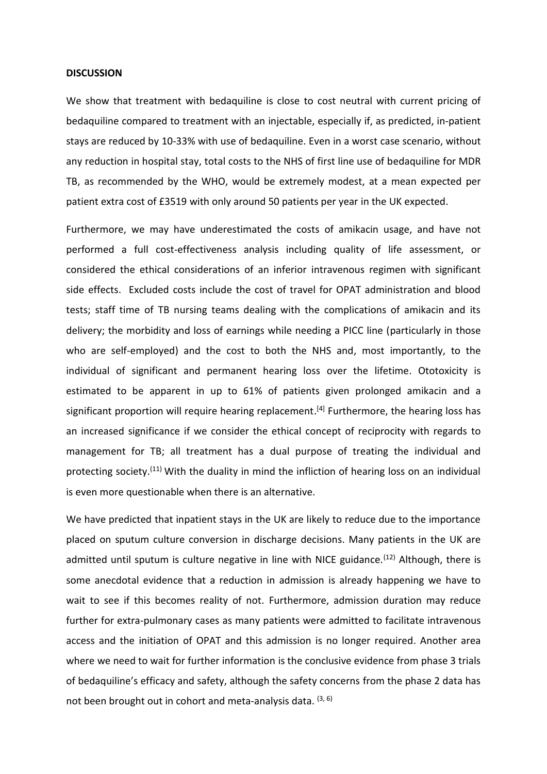#### **DISCUSSION**

We show that treatment with bedaquiline is close to cost neutral with current pricing of bedaquiline compared to treatment with an injectable, especially if, as predicted, in-patient stays are reduced by 10-33% with use of bedaquiline. Even in a worst case scenario, without any reduction in hospital stay, total costs to the NHS of first line use of bedaquiline for MDR TB, as recommended by the WHO, would be extremely modest, at a mean expected per patient extra cost of £3519 with only around 50 patients per year in the UK expected.

Furthermore, we may have underestimated the costs of amikacin usage, and have not performed a full cost-effectiveness analysis including quality of life assessment, or considered the ethical considerations of an inferior intravenous regimen with significant side effects. Excluded costs include the cost of travel for OPAT administration and blood tests; staff time of TB nursing teams dealing with the complications of amikacin and its delivery; the morbidity and loss of earnings while needing a PICC line (particularly in those who are self-employed) and the cost to both the NHS and, most importantly, to the individual of significant and permanent hearing loss over the lifetime. Ototoxicity is estimated to be apparent in up to 61% of patients given prolonged amikacin and a significant proportion will require hearing replacement.<sup>[4]</sup> Furthermore, the hearing loss has an increased significance if we consider the ethical concept of reciprocity with regards to management for TB; all treatment has a dual purpose of treating the individual and protecting society.<sup>(11)</sup> With the duality in mind the infliction of hearing loss on an individual is even more questionable when there is an alternative.

We have predicted that inpatient stays in the UK are likely to reduce due to the importance placed on sputum culture conversion in discharge decisions. Many patients in the UK are admitted until sputum is culture negative in line with NICE guidance.<sup> $(12)$ </sup> Although, there is some anecdotal evidence that a reduction in admission is already happening we have to wait to see if this becomes reality of not. Furthermore, admission duration may reduce further for extra-pulmonary cases as many patients were admitted to facilitate intravenous access and the initiation of OPAT and this admission is no longer required. Another area where we need to wait for further information is the conclusive evidence from phase 3 trials of bedaquiline's efficacy and safety, although the safety concerns from the phase 2 data has not been brought out in cohort and meta-analysis data.  $(3, 6)$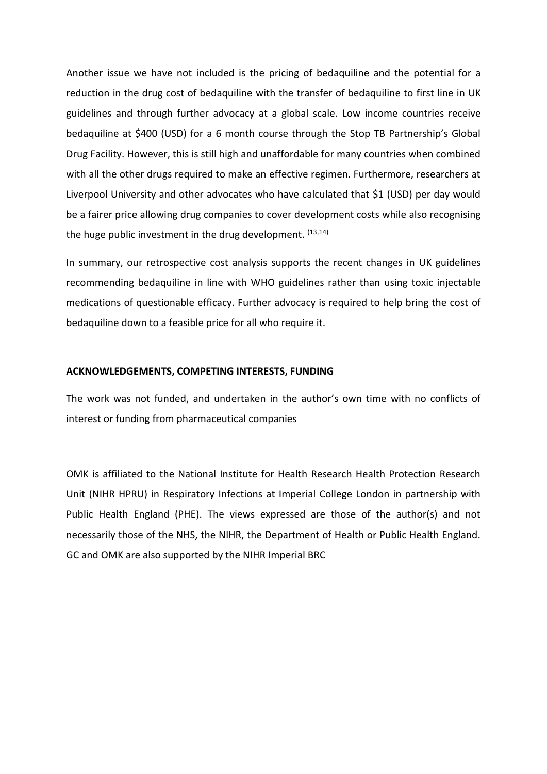Another issue we have not included is the pricing of bedaquiline and the potential for a reduction in the drug cost of bedaquiline with the transfer of bedaquiline to first line in UK guidelines and through further advocacy at a global scale. Low income countries receive bedaquiline at \$400 (USD) for a 6 month course through the Stop TB Partnership's Global Drug Facility. However, this is still high and unaffordable for many countries when combined with all the other drugs required to make an effective regimen. Furthermore, researchers at Liverpool University and other advocates who have calculated that \$1 (USD) per day would be a fairer price allowing drug companies to cover development costs while also recognising the huge public investment in the drug development. (13,14)

In summary, our retrospective cost analysis supports the recent changes in UK guidelines recommending bedaquiline in line with WHO guidelines rather than using toxic injectable medications of questionable efficacy. Further advocacy is required to help bring the cost of bedaquiline down to a feasible price for all who require it.

#### **ACKNOWLEDGEMENTS, COMPETING INTERESTS, FUNDING**

The work was not funded, and undertaken in the author's own time with no conflicts of interest or funding from pharmaceutical companies

OMK is affiliated to the National Institute for Health Research Health Protection Research Unit (NIHR HPRU) in Respiratory Infections at Imperial College London in partnership with Public Health England (PHE). The views expressed are those of the author(s) and not necessarily those of the NHS, the NIHR, the Department of Health or Public Health England. GC and OMK are also supported by the NIHR Imperial BRC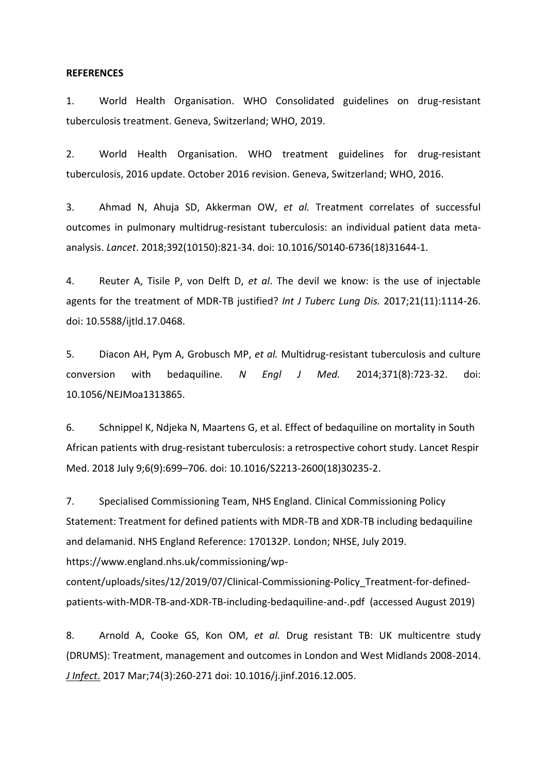#### **REFERENCES**

1. World Health Organisation. WHO Consolidated guidelines on drug-resistant tuberculosis treatment. Geneva, Switzerland; WHO, 2019.

2. World Health Organisation. WHO treatment guidelines for drug-resistant tuberculosis, 2016 update. October 2016 revision. Geneva, Switzerland; WHO, 2016.

3. Ahmad N, Ahuja SD, Akkerman OW, *et al.* Treatment correlates of successful outcomes in pulmonary multidrug-resistant tuberculosis: an individual patient data metaanalysis. *Lancet*. 2018;392(10150):821-34. doi: 10.1016/S0140-6736(18)31644-1.

4. Reuter A, Tisile P, von Delft D, *et al*. The devil we know: is the use of injectable agents for the treatment of MDR-TB justified? *Int J Tuberc Lung Dis.* 2017;21(11):1114-26. doi: 10.5588/ijtld.17.0468.

5. Diacon AH, Pym A, Grobusch MP, *et al.* Multidrug-resistant tuberculosis and culture conversion with bedaquiline. *N Engl J Med.* 2014;371(8):723-32. doi: 10.1056/NEJMoa1313865.

6. Schnippel K, Ndjeka N, Maartens G, et al. Effect of bedaquiline on mortality in South African patients with drug-resistant tuberculosis: a retrospective cohort study. Lancet Respir Med. 2018 July 9;6(9):699–706. doi: 10.1016/S2213-2600(18)30235-2.

7. Specialised Commissioning Team, NHS England. Clinical Commissioning Policy Statement: Treatment for defined patients with MDR-TB and XDR-TB including bedaquiline and delamanid. NHS England Reference: 170132P. London; NHSE, July 2019. https://www.england.nhs.uk/commissioning/wp-

content/uploads/sites/12/2019/07/Clinical-Commissioning-Policy\_Treatment-for-definedpatients-with-MDR-TB-and-XDR-TB-including-bedaquiline-and-.pdf (accessed August 2019)

8. Arnold A, Cooke GS, Kon OM, *et al.* Drug resistant TB: UK multicentre study (DRUMS): Treatment, management and outcomes in London and West Midlands 2008-2014. *[J Infect](https://www.ncbi.nlm.nih.gov/pubmed/27998752)*. 2017 Mar;74(3):260-271 doi: 10.1016/j.jinf.2016.12.005.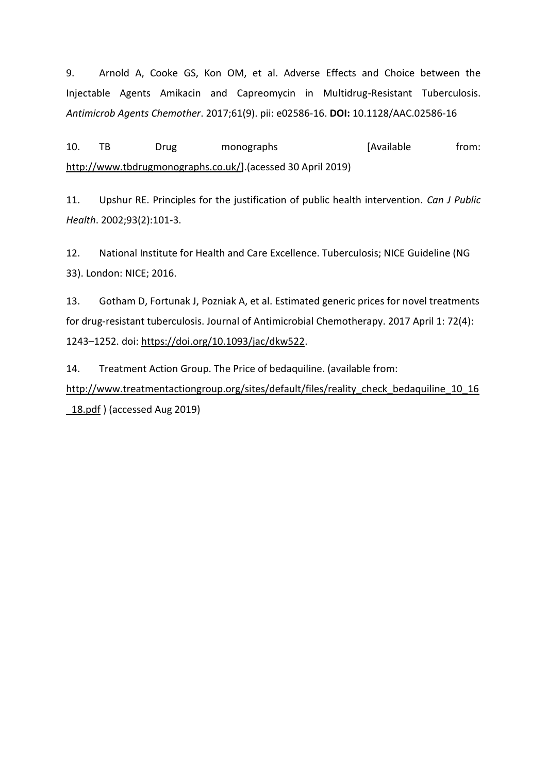9. Arnold A, Cooke GS, Kon OM, et al. Adverse Effects and Choice between the Injectable Agents Amikacin and Capreomycin in Multidrug-Resistant Tuberculosis. *Antimicrob Agents Chemother*. 2017;61(9). pii: e02586-16. **DOI:** 10.1128/AAC.02586-16

10. TB Drug monographs [Available from: [http://www.tbdrugmonographs.co.uk/\]](http://www.tbdrugmonographs.co.uk/).(acessed 30 April 2019)

11. Upshur RE. Principles for the justification of public health intervention. *Can J Public Health*. 2002;93(2):101-3.

12. National Institute for Health and Care Excellence. Tuberculosis; NICE Guideline (NG 33). London: NICE; 2016.

13. Gotham D, Fortunak J, Pozniak A, et al. Estimated generic prices for novel treatments for drug-resistant tuberculosis. Journal of Antimicrobial Chemotherapy. 2017 April 1: 72(4): 1243–1252. doi[: https://doi.org/10.1093/jac/dkw522.](https://doi.org/10.1093/jac/dkw522)

14. Treatment Action Group. The Price of bedaquiline. (available from:

http://www.treatmentactiongroup.org/sites/default/files/reality check bedaquiline 10 16 18.pdf ) (accessed Aug 2019)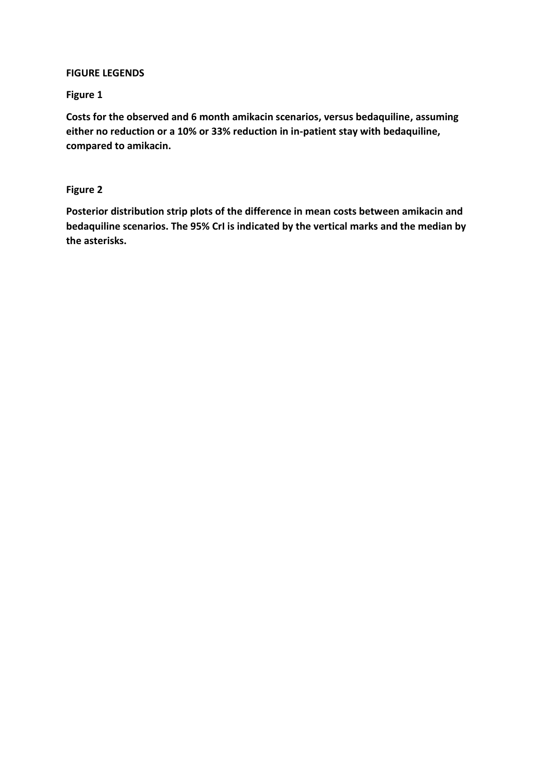# **FIGURE LEGENDS**

# **Figure 1**

**Costs for the observed and 6 month amikacin scenarios, versus bedaquiline, assuming either no reduction or a 10% or 33% reduction in in-patient stay with bedaquiline, compared to amikacin.** 

# **Figure 2**

**Posterior distribution strip plots of the difference in mean costs between amikacin and bedaquiline scenarios. The 95% CrI is indicated by the vertical marks and the median by the asterisks.**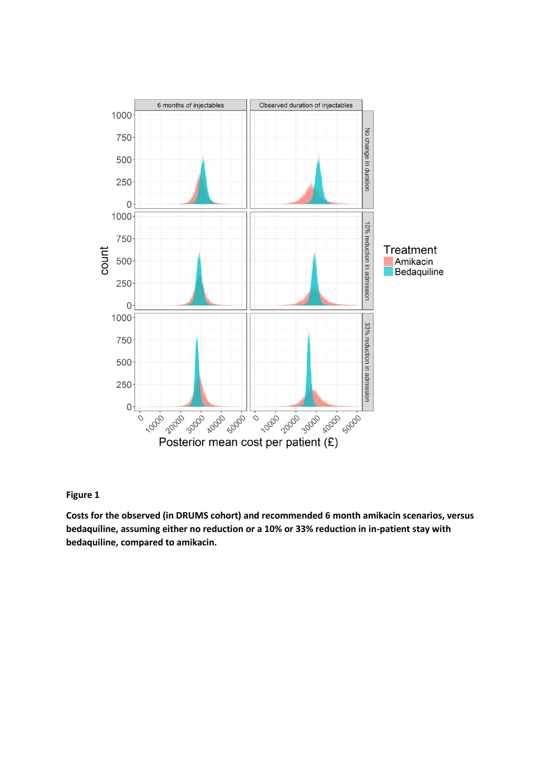

## **Figure 1**

**Costs for the observed (in DRUMS cohort) and recommended 6 month amikacin scenarios, versus bedaquiline, assuming either no reduction or a 10% or 33% reduction in in-patient stay with bedaquiline, compared to amikacin.**